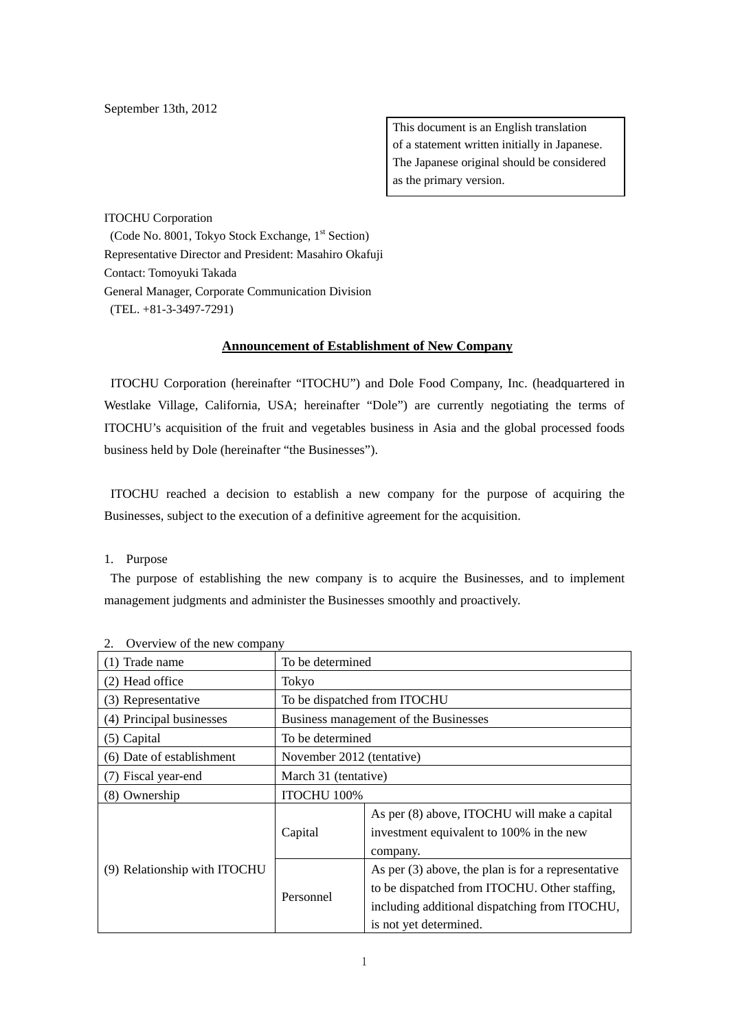September 13th, 2012

This document is an English translation of a statement written initially in Japanese. The Japanese original should be considered as the primary version.

ITOCHU Corporation (Code No. 8001, Tokyo Stock Exchange, 1<sup>st</sup> Section) Representative Director and President: Masahiro Okafuji Contact: Tomoyuki Takada General Manager, Corporate Communication Division (TEL. +81-3-3497-7291)

## **Announcement of Establishment of New Company**

 ITOCHU Corporation (hereinafter "ITOCHU") and Dole Food Company, Inc. (headquartered in Westlake Village, California, USA; hereinafter "Dole") are currently negotiating the terms of ITOCHU's acquisition of the fruit and vegetables business in Asia and the global processed foods business held by Dole (hereinafter "the Businesses").

 ITOCHU reached a decision to establish a new company for the purpose of acquiring the Businesses, subject to the execution of a definitive agreement for the acquisition.

1. Purpose

 The purpose of establishing the new company is to acquire the Businesses, and to implement management judgments and administer the Businesses smoothly and proactively.

| OVERVIEW OF the new company  |                                       |                                                      |  |
|------------------------------|---------------------------------------|------------------------------------------------------|--|
| (1) Trade name               | To be determined                      |                                                      |  |
| (2) Head office              | Tokyo                                 |                                                      |  |
| (3) Representative           | To be dispatched from ITOCHU          |                                                      |  |
| (4) Principal businesses     | Business management of the Businesses |                                                      |  |
| (5) Capital                  | To be determined                      |                                                      |  |
| (6) Date of establishment    | November 2012 (tentative)             |                                                      |  |
| (7) Fiscal year-end          | March 31 (tentative)                  |                                                      |  |
| (8) Ownership                | ITOCHU 100%                           |                                                      |  |
| (9) Relationship with ITOCHU | Capital                               | As per (8) above, ITOCHU will make a capital         |  |
|                              |                                       | investment equivalent to 100% in the new             |  |
|                              |                                       | company.                                             |  |
|                              | Personnel                             | As per $(3)$ above, the plan is for a representative |  |
|                              |                                       | to be dispatched from ITOCHU. Other staffing,        |  |
|                              |                                       | including additional dispatching from ITOCHU,        |  |
|                              |                                       | is not yet determined.                               |  |

<sup>2.</sup> Overview of the new company